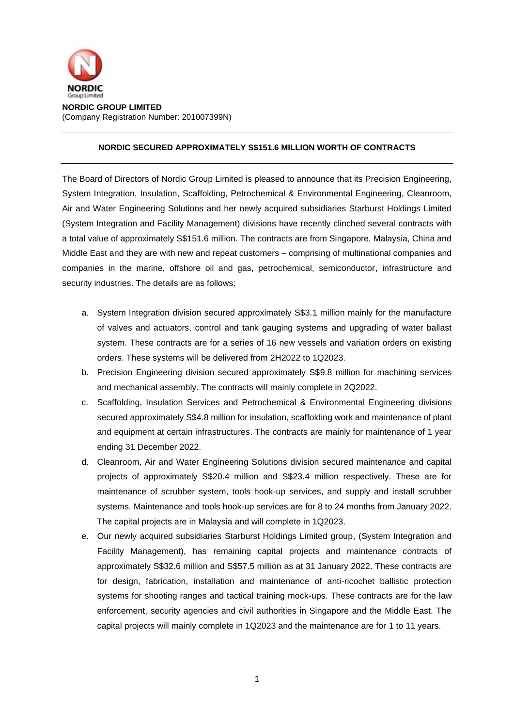

**NORDIC GROUP LIMITED** (Company Registration Number: 201007399N)

## **NORDIC SECURED APPROXIMATELY S\$151.6 MILLION WORTH OF CONTRACTS**

The Board of Directors of Nordic Group Limited is pleased to announce that its Precision Engineering, System Integration, Insulation, Scaffolding, Petrochemical & Environmental Engineering, Cleanroom, Air and Water Engineering Solutions and her newly acquired subsidiaries Starburst Holdings Limited (System Integration and Facility Management) divisions have recently clinched several contracts with a total value of approximately S\$151.6 million. The contracts are from Singapore, Malaysia, China and Middle East and they are with new and repeat customers – comprising of multinational companies and companies in the marine, offshore oil and gas, petrochemical, semiconductor, infrastructure and security industries. The details are as follows:

- a. System Integration division secured approximately S\$3.1 million mainly for the manufacture of valves and actuators, control and tank gauging systems and upgrading of water ballast system. These contracts are for a series of 16 new vessels and variation orders on existing orders. These systems will be delivered from 2H2022 to 1Q2023.
- b. Precision Engineering division secured approximately S\$9.8 million for machining services and mechanical assembly. The contracts will mainly complete in 2Q2022.
- c. Scaffolding, Insulation Services and Petrochemical & Environmental Engineering divisions secured approximately S\$4.8 million for insulation, scaffolding work and maintenance of plant and equipment at certain infrastructures. The contracts are mainly for maintenance of 1 year ending 31 December 2022.
- d. Cleanroom, Air and Water Engineering Solutions division secured maintenance and capital projects of approximately S\$20.4 million and S\$23.4 million respectively. These are for maintenance of scrubber system, tools hook-up services, and supply and install scrubber systems. Maintenance and tools hook-up services are for 8 to 24 months from January 2022. The capital projects are in Malaysia and will complete in 1Q2023.
- e. Our newly acquired subsidiaries Starburst Holdings Limited group, (System Integration and Facility Management), has remaining capital projects and maintenance contracts of approximately S\$32.6 million and S\$57.5 million as at 31 January 2022. These contracts are for design, fabrication, installation and maintenance of anti-ricochet ballistic protection systems for shooting ranges and tactical training mock-ups. These contracts are for the law enforcement, security agencies and civil authorities in Singapore and the Middle East. The capital projects will mainly complete in 1Q2023 and the maintenance are for 1 to 11 years.